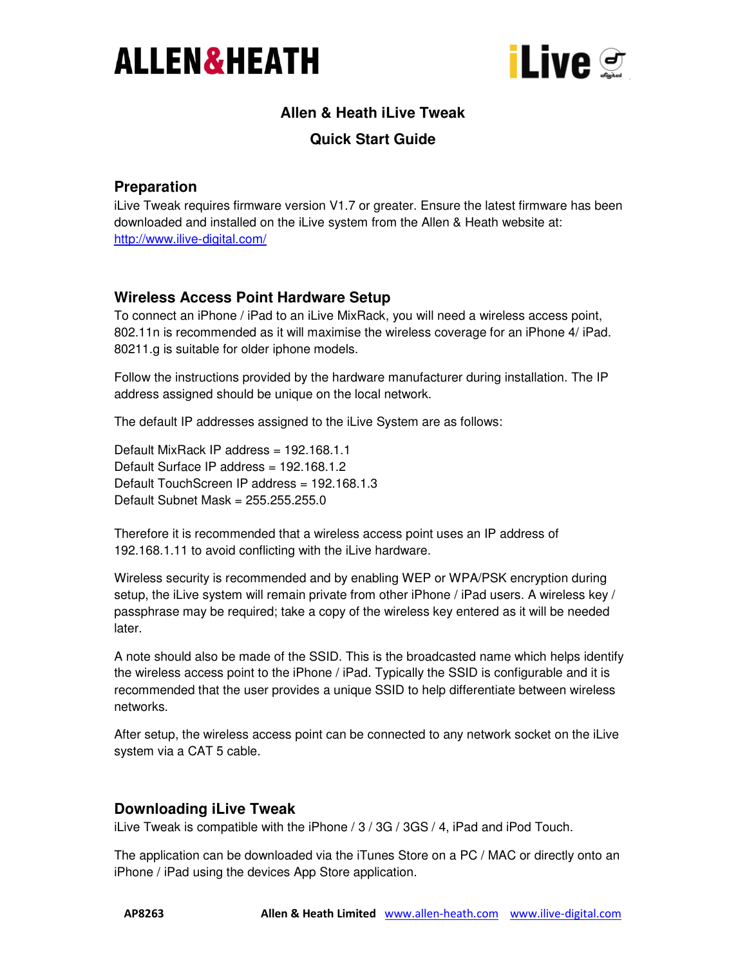



# **Allen & Heath iLive Tweak**

### **Quick Start Guide**

#### **Preparation**

iLive Tweak requires firmware version V1.7 or greater. Ensure the latest firmware has been downloaded and installed on the iLive system from the Allen & Heath website at: http://www.ilive-digital.com/

## **Wireless Access Point Hardware Setup**

To connect an iPhone / iPad to an iLive MixRack, you will need a wireless access point, 802.11n is recommended as it will maximise the wireless coverage for an iPhone 4/ iPad. 80211.g is suitable for older iphone models.

Follow the instructions provided by the hardware manufacturer during installation. The IP address assigned should be unique on the local network.

The default IP addresses assigned to the iLive System are as follows:

Default MixRack IP address = 192.168.1.1 Default Surface IP address = 192.168.1.2 Default TouchScreen IP address = 192.168.1.3 Default Subnet Mask = 255.255.255.0

Therefore it is recommended that a wireless access point uses an IP address of 192.168.1.11 to avoid conflicting with the iLive hardware.

Wireless security is recommended and by enabling WEP or WPA/PSK encryption during setup, the iLive system will remain private from other iPhone / iPad users. A wireless key / passphrase may be required; take a copy of the wireless key entered as it will be needed later.

A note should also be made of the SSID. This is the broadcasted name which helps identify the wireless access point to the iPhone / iPad. Typically the SSID is configurable and it is recommended that the user provides a unique SSID to help differentiate between wireless networks.

After setup, the wireless access point can be connected to any network socket on the iLive system via a CAT 5 cable.

## **Downloading iLive Tweak**

iLive Tweak is compatible with the iPhone / 3 / 3G / 3GS / 4, iPad and iPod Touch.

The application can be downloaded via the iTunes Store on a PC / MAC or directly onto an iPhone / iPad using the devices App Store application.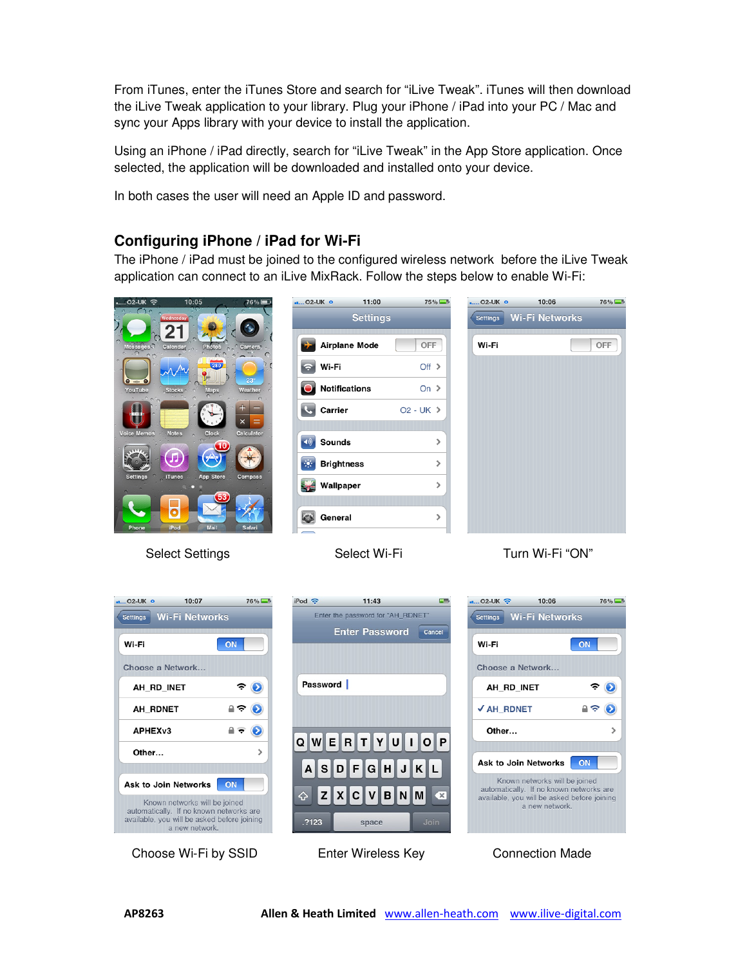From iTunes, enter the iTunes Store and search for "iLive Tweak". iTunes will then download the iLive Tweak application to your library. Plug your iPhone / iPad into your PC / Mac and sync your Apps library with your device to install the application.

Using an iPhone / iPad directly, search for "iLive Tweak" in the App Store application. Once selected, the application will be downloaded and installed onto your device.

In both cases the user will need an Apple ID and password.

#### **Configuring iPhone / iPad for Wi-Fi**

The iPhone / iPad must be joined to the configured wireless network before the iLive Tweak application can connect to an iLive MixRack. Follow the steps below to enable Wi-Fi:



Select Settings Select Wi-Fi Turn Wi-Fi "ON"

10:06

Settings Wi-Fi Networks

Choose a Network...

AH RD INET

√ AH RDNET

Other...

76%

 $\rightarrow$ 

 $\triangle$  $\circ$ 

**ON** 

 $02$ -UK  $\approx$ 

Wi-Fi



Choose Wi-Fi by SSID Enter Wireless Key Connection Made



Ask to Join Networks ON

Known networks will be joined

automatically. If no known networks are

available, you will be asked before joining

a new network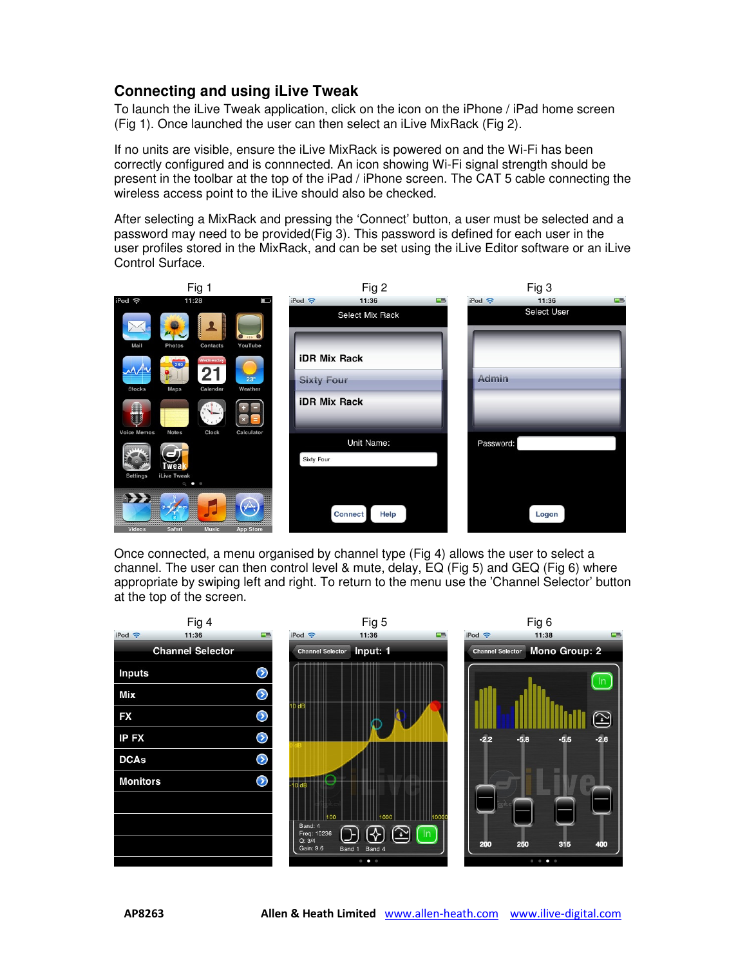### **Connecting and using iLive Tweak**

To launch the iLive Tweak application, click on the icon on the iPhone / iPad home screen (Fig 1). Once launched the user can then select an iLive MixRack (Fig 2).

If no units are visible, ensure the iLive MixRack is powered on and the Wi-Fi has been correctly configured and is connnected. An icon showing Wi-Fi signal strength should be present in the toolbar at the top of the iPad / iPhone screen. The CAT 5 cable connecting the wireless access point to the iLive should also be checked.

After selecting a MixRack and pressing the 'Connect' button, a user must be selected and a password may need to be provided(Fig 3). This password is defined for each user in the user profiles stored in the MixRack, and can be set using the iLive Editor software or an iLive Control Surface.



Once connected, a menu organised by channel type (Fig 4) allows the user to select a channel. The user can then control level & mute, delay, EQ (Fig 5) and GEQ (Fig 6) where appropriate by swiping left and right. To return to the menu use the 'Channel Selector' button at the top of the screen.